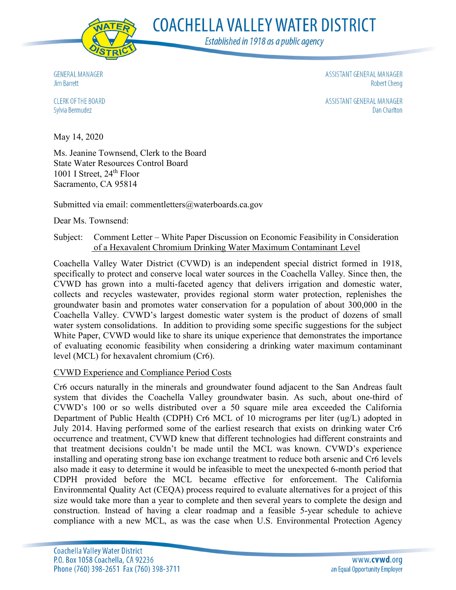

**COACHELLA VALLEY WATER DISTRICT** 

Established in 1918 as a public agency

**GENERAL MANAGER** Jim Barrett

ASSISTANT GENERAL MANAGER **Robert Cheng** 

ASSISTANT GENERAL MANAGER **Dan Charlton** 

**CLERK OF THE BOARD** 

Sylvia Bermudez

May 14, 2020

Ms. Jeanine Townsend, Clerk to the Board State Water Resources Control Board 1001 I Street,  $24<sup>th</sup>$  Floor Sacramento, CA 95814

Submitted via email: commentletters@waterboards.ca.gov

Dear Ms. Townsend:

## Subject: Comment Letter – White Paper Discussion on Economic Feasibility in Consideration of a Hexavalent Chromium Drinking Water Maximum Contaminant Level

Coachella Valley Water District (CVWD) is an independent special district formed in 1918, specifically to protect and conserve local water sources in the Coachella Valley. Since then, the CVWD has grown into a multi-faceted agency that delivers irrigation and domestic water, collects and recycles wastewater, provides regional storm water protection, replenishes the groundwater basin and promotes water conservation for a population of about 300,000 in the Coachella Valley. CVWD's largest domestic water system is the product of dozens of small water system consolidations. In addition to providing some specific suggestions for the subject White Paper, CVWD would like to share its unique experience that demonstrates the importance of evaluating economic feasibility when considering a drinking water maximum contaminant level (MCL) for hexavalent chromium (Cr6).

# CVWD Experience and Compliance Period Costs

Cr6 occurs naturally in the minerals and groundwater found adjacent to the San Andreas fault system that divides the Coachella Valley groundwater basin. As such, about one-third of CVWD's 100 or so wells distributed over a 50 square mile area exceeded the California Department of Public Health (CDPH) Cr6 MCL of 10 micrograms per liter (ug/L) adopted in July 2014. Having performed some of the earliest research that exists on drinking water Cr6 occurrence and treatment, CVWD knew that different technologies had different constraints and that treatment decisions couldn't be made until the MCL was known. CVWD's experience installing and operating strong base ion exchange treatment to reduce both arsenic and Cr6 levels also made it easy to determine it would be infeasible to meet the unexpected 6-month period that CDPH provided before the MCL became effective for enforcement. The California Environmental Quality Act (CEQA) process required to evaluate alternatives for a project of this size would take more than a year to complete and then several years to complete the design and construction. Instead of having a clear roadmap and a feasible 5-year schedule to achieve compliance with a new MCL, as was the case when U.S. Environmental Protection Agency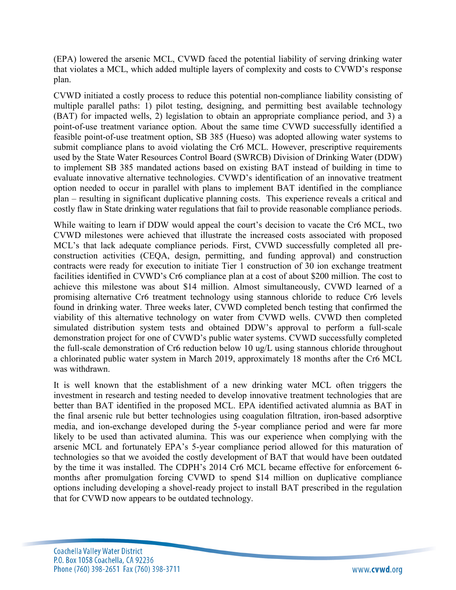(EPA) lowered the arsenic MCL, CVWD faced the potential liability of serving drinking water that violates a MCL, which added multiple layers of complexity and costs to CVWD's response plan.

CVWD initiated a costly process to reduce this potential non-compliance liability consisting of multiple parallel paths: 1) pilot testing, designing, and permitting best available technology (BAT) for impacted wells, 2) legislation to obtain an appropriate compliance period, and 3) a point-of-use treatment variance option. About the same time CVWD successfully identified a feasible point-of-use treatment option, SB 385 (Hueso) was adopted allowing water systems to submit compliance plans to avoid violating the Cr6 MCL. However, prescriptive requirements used by the State Water Resources Control Board (SWRCB) Division of Drinking Water (DDW) to implement SB 385 mandated actions based on existing BAT instead of building in time to evaluate innovative alternative technologies. CVWD's identification of an innovative treatment option needed to occur in parallel with plans to implement BAT identified in the compliance plan – resulting in significant duplicative planning costs. This experience reveals a critical and costly flaw in State drinking water regulations that fail to provide reasonable compliance periods.

While waiting to learn if DDW would appeal the court's decision to vacate the Cr6 MCL, two CVWD milestones were achieved that illustrate the increased costs associated with proposed MCL's that lack adequate compliance periods. First, CVWD successfully completed all preconstruction activities (CEQA, design, permitting, and funding approval) and construction contracts were ready for execution to initiate Tier 1 construction of 30 ion exchange treatment facilities identified in CVWD's Cr6 compliance plan at a cost of about \$200 million. The cost to achieve this milestone was about \$14 million. Almost simultaneously, CVWD learned of a promising alternative Cr6 treatment technology using stannous chloride to reduce Cr6 levels found in drinking water. Three weeks later, CVWD completed bench testing that confirmed the viability of this alternative technology on water from CVWD wells. CVWD then completed simulated distribution system tests and obtained DDW's approval to perform a full-scale demonstration project for one of CVWD's public water systems. CVWD successfully completed the full-scale demonstration of Cr6 reduction below 10 ug/L using stannous chloride throughout a chlorinated public water system in March 2019, approximately 18 months after the Cr6 MCL was withdrawn.

It is well known that the establishment of a new drinking water MCL often triggers the investment in research and testing needed to develop innovative treatment technologies that are better than BAT identified in the proposed MCL. EPA identified activated alumnia as BAT in the final arsenic rule but better technologies using coagulation filtration, iron-based adsorptive media, and ion-exchange developed during the 5-year compliance period and were far more likely to be used than activated alumina. This was our experience when complying with the arsenic MCL and fortunately EPA's 5-year compliance period allowed for this maturation of technologies so that we avoided the costly development of BAT that would have been outdated by the time it was installed. The CDPH's 2014 Cr6 MCL became effective for enforcement 6 months after promulgation forcing CVWD to spend \$14 million on duplicative compliance options including developing a shovel-ready project to install BAT prescribed in the regulation that for CVWD now appears to be outdated technology.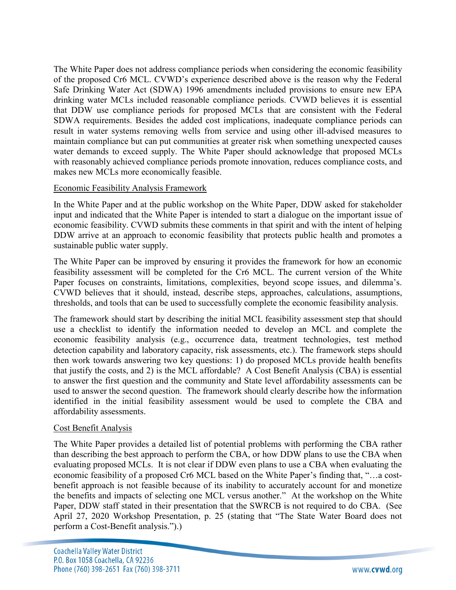The White Paper does not address compliance periods when considering the economic feasibility of the proposed Cr6 MCL. CVWD's experience described above is the reason why the Federal Safe Drinking Water Act (SDWA) 1996 amendments included provisions to ensure new EPA drinking water MCLs included reasonable compliance periods. CVWD believes it is essential that DDW use compliance periods for proposed MCLs that are consistent with the Federal SDWA requirements. Besides the added cost implications, inadequate compliance periods can result in water systems removing wells from service and using other ill-advised measures to maintain compliance but can put communities at greater risk when something unexpected causes water demands to exceed supply. The White Paper should acknowledge that proposed MCLs with reasonably achieved compliance periods promote innovation, reduces compliance costs, and makes new MCLs more economically feasible.

## Economic Feasibility Analysis Framework

In the White Paper and at the public workshop on the White Paper, DDW asked for stakeholder input and indicated that the White Paper is intended to start a dialogue on the important issue of economic feasibility. CVWD submits these comments in that spirit and with the intent of helping DDW arrive at an approach to economic feasibility that protects public health and promotes a sustainable public water supply.

The White Paper can be improved by ensuring it provides the framework for how an economic feasibility assessment will be completed for the Cr6 MCL. The current version of the White Paper focuses on constraints, limitations, complexities, beyond scope issues, and dilemma's. CVWD believes that it should, instead, describe steps, approaches, calculations, assumptions, thresholds, and tools that can be used to successfully complete the economic feasibility analysis.

The framework should start by describing the initial MCL feasibility assessment step that should use a checklist to identify the information needed to develop an MCL and complete the economic feasibility analysis (e.g., occurrence data, treatment technologies, test method detection capability and laboratory capacity, risk assessments, etc.). The framework steps should then work towards answering two key questions: 1) do proposed MCLs provide health benefits that justify the costs, and 2) is the MCL affordable? A Cost Benefit Analysis (CBA) is essential to answer the first question and the community and State level affordability assessments can be used to answer the second question. The framework should clearly describe how the information identified in the initial feasibility assessment would be used to complete the CBA and affordability assessments.

#### Cost Benefit Analysis

The White Paper provides a detailed list of potential problems with performing the CBA rather than describing the best approach to perform the CBA, or how DDW plans to use the CBA when evaluating proposed MCLs. It is not clear if DDW even plans to use a CBA when evaluating the economic feasibility of a proposed Cr6 MCL based on the White Paper's finding that, "…a costbenefit approach is not feasible because of its inability to accurately account for and monetize the benefits and impacts of selecting one MCL versus another." At the workshop on the White Paper, DDW staff stated in their presentation that the SWRCB is not required to do CBA. (See April 27, 2020 Workshop Presentation, p. 25 (stating that "The State Water Board does not perform a Cost-Benefit analysis.").)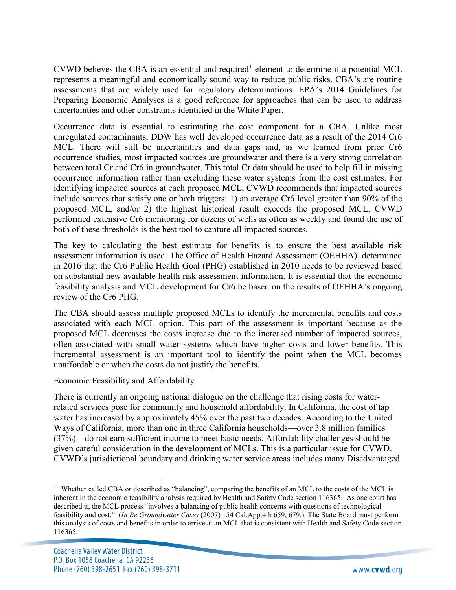CVWD believes the CBA is an essential and required<sup>[1](#page-3-0)</sup> element to determine if a potential MCL represents a meaningful and economically sound way to reduce public risks. CBA's are routine assessments that are widely used for regulatory determinations. EPA's 2014 Guidelines for Preparing Economic Analyses is a good reference for approaches that can be used to address uncertainties and other constraints identified in the White Paper.

Occurrence data is essential to estimating the cost component for a CBA. Unlike most unregulated contaminants, DDW has well developed occurrence data as a result of the 2014 Cr6 MCL. There will still be uncertainties and data gaps and, as we learned from prior Cr6 occurrence studies, most impacted sources are groundwater and there is a very strong correlation between total Cr and Cr6 in groundwater. This total Cr data should be used to help fill in missing occurrence information rather than excluding these water systems from the cost estimates. For identifying impacted sources at each proposed MCL, CVWD recommends that impacted sources include sources that satisfy one or both triggers: 1) an average Cr6 level greater than 90% of the proposed MCL, and/or 2) the highest historical result exceeds the proposed MCL. CVWD performed extensive Cr6 monitoring for dozens of wells as often as weekly and found the use of both of these thresholds is the best tool to capture all impacted sources.

The key to calculating the best estimate for benefits is to ensure the best available risk assessment information is used. The Office of Health Hazard Assessment (OEHHA) determined in 2016 that the Cr6 Public Health Goal (PHG) established in 2010 needs to be reviewed based on substantial new available health risk assessment information. It is essential that the economic feasibility analysis and MCL development for Cr6 be based on the results of OEHHA's ongoing review of the Cr6 PHG.

The CBA should assess multiple proposed MCLs to identify the incremental benefits and costs associated with each MCL option. This part of the assessment is important because as the proposed MCL decreases the costs increase due to the increased number of impacted sources, often associated with small water systems which have higher costs and lower benefits. This incremental assessment is an important tool to identify the point when the MCL becomes unaffordable or when the costs do not justify the benefits.

## Economic Feasibility and Affordability

There is currently an ongoing national dialogue on the challenge that rising costs for waterrelated services pose for community and household affordability. In California, the cost of tap water has increased by approximately 45% over the past two decades. According to the United Ways of California, more than one in three California households—over 3.8 million families (37%)—do not earn sufficient income to meet basic needs. Affordability challenges should be given careful consideration in the development of MCLs. This is a particular issue for CVWD. CVWD's jurisdictional boundary and drinking water service areas includes many Disadvantaged

 $\overline{a}$ 

<span id="page-3-0"></span><sup>&</sup>lt;sup>1</sup> Whether called CBA or described as "balancing", comparing the benefits of an MCL to the costs of the MCL is inherent in the economic feasibility analysis required by Health and Safety Code section 116365. As one court has described it, the MCL process "involves a balancing of public health concerns with questions of technological feasibility and cost." (*In Re Groundwater Cases* (2007) 154 Cal.App.4th 659, 679.) The State Board must perform this analysis of costs and benefits in order to arrive at an MCL that is consistent with Health and Safety Code section 116365.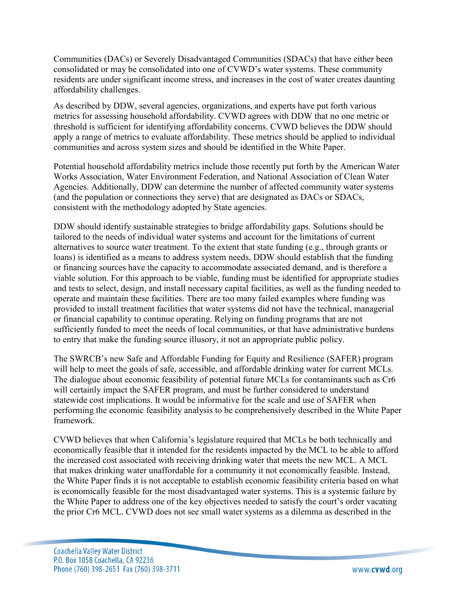Communities (DACs) or Severely Disadvantaged Communities (SDACs) that have either been consolidated or may be consolidated into one of CVWD's water systems. These community residents are under significant income stress, and increases in the cost of water creates daunting affordability challenges.

As described by DDW, several agencies, organizations, and experts have put forth various metrics for assessing household affordability. CVWD agrees with DDW that no one metric or threshold is sufficient for identifying affordability concerns. CVWD believes the DDW should apply a range of metrics to evaluate affordability. These metrics should be applied to individual communities and across system sizes and should be identified in the White Paper.

Potential household affordability metrics include those recently put forth by the American Water Works Association, Water Environment Federation, and National Association of Clean Water Agencies. Additionally, DDW can determine the number of affected community water systems (and the population or connections they serve) that are designated as DACs or SDACs, consistent with the methodology adopted by State agencies.

DDW should identify sustainable strategies to bridge affordability gaps. Solutions should be tailored to the needs of individual water systems and account for the limitations of current alternatives to source water treatment. To the extent that state funding (e.g., through grants or loans) is identified as a means to address system needs, DDW should establish that the funding or financing sources have the capacity to accommodate associated demand, and is therefore a viable solution. For this approach to be viable, funding must be identified for appropriate studies and tests to select, design, and install necessary capital facilities, as well as the funding needed to operate and maintain these facilities. There are too many failed examples where funding was provided to install treatment facilities that water systems did not have the technical, managerial or financial capability to continue operating. Relying on funding programs that are not sufficiently funded to meet the needs of local communities, or that have administrative burdens to entry that make the funding source illusory, it not an appropriate public policy.

The SWRCB's new Safe and Affordable Funding for Equity and Resilience (SAFER) program will help to meet the goals of safe, accessible, and affordable drinking water for current MCLs. The dialogue about economic feasibility of potential future MCLs for contaminants such as Cr6 will certainly impact the SAFER program, and must be further considered to understand statewide cost implications. It would be informative for the scale and use of SAFER when performing the economic feasibility analysis to be comprehensively described in the White Paper framework.

CVWD believes that when California's legislature required that MCLs be both technically and economically feasible that it intended for the residents impacted by the MCL to be able to afford the increased cost associated with receiving drinking water that meets the new MCL. A MCL that makes drinking water unaffordable for a community it not economically feasible. Instead, the White Paper finds it is not acceptable to establish economic feasibility criteria based on what is economically feasible for the most disadvantaged water systems. This is a systemic failure by the White Paper to address one of the key objectives needed to satisfy the court's order vacating the prior Cr6 MCL. CVWD does not see small water systems as a dilemma as described in the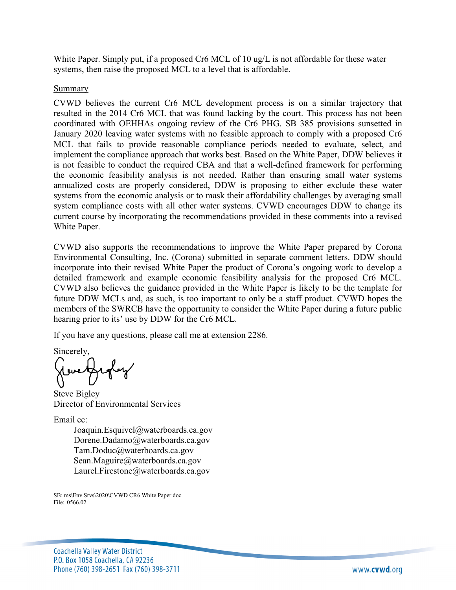White Paper. Simply put, if a proposed Cr6 MCL of 10 ug/L is not affordable for these water systems, then raise the proposed MCL to a level that is affordable.

#### Summary

CVWD believes the current Cr6 MCL development process is on a similar trajectory that resulted in the 2014 Cr6 MCL that was found lacking by the court. This process has not been coordinated with OEHHAs ongoing review of the Cr6 PHG. SB 385 provisions sunsetted in January 2020 leaving water systems with no feasible approach to comply with a proposed Cr6 MCL that fails to provide reasonable compliance periods needed to evaluate, select, and implement the compliance approach that works best. Based on the White Paper, DDW believes it is not feasible to conduct the required CBA and that a well-defined framework for performing the economic feasibility analysis is not needed. Rather than ensuring small water systems annualized costs are properly considered, DDW is proposing to either exclude these water systems from the economic analysis or to mask their affordability challenges by averaging small system compliance costs with all other water systems. CVWD encourages DDW to change its current course by incorporating the recommendations provided in these comments into a revised White Paper.

CVWD also supports the recommendations to improve the White Paper prepared by Corona Environmental Consulting, Inc. (Corona) submitted in separate comment letters. DDW should incorporate into their revised White Paper the product of Corona's ongoing work to develop a detailed framework and example economic feasibility analysis for the proposed Cr6 MCL. CVWD also believes the guidance provided in the White Paper is likely to be the template for future DDW MCLs and, as such, is too important to only be a staff product. CVWD hopes the members of the SWRCB have the opportunity to consider the White Paper during a future public hearing prior to its' use by DDW for the Cr6 MCL.

If you have any questions, please call me at extension 2286.

Sincerely,

Steve Bigley Director of Environmental Services

Email cc:

[Joaquin.Esquivel@waterboards.ca.gov](mailto:Joaquin.Esquivel@waterboards.ca.gov) Dorene.Dadam[o@waterboards.ca.gov](mailto:Joaquin.Esquivel@waterboards.ca.gov) [Tam.Doduc@waterboards.ca.gov](mailto:Tam.Doduc@waterboards.ca.gov) Sean.Maguire@waterboards.ca.gov Laurel.Fireston[e@waterboards.ca.gov](mailto:Joaquin.Esquivel@waterboards.ca.gov)

SB: ms\Env Srvs\2020\CVWD CR6 White Paper.doc File: 0566.02